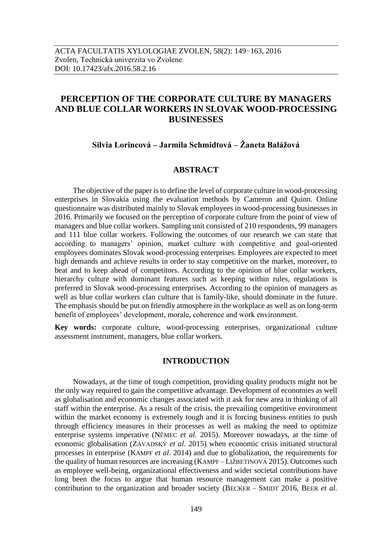# **PERCEPTION OF THE CORPORATE CULTURE BY MANAGERS AND BLUE COLLAR WORKERS IN SLOVAK WOOD-PROCESSING BUSINESSES**

# **Silvia Lorincová – Jarmila Schmidtová – Žaneta Balážová**

## **ABSTRACT**

The objective of the paper is to define the level of corporate culture in wood-processing enterprises in Slovakia using the evaluation methods by Cameron and Quinn. Online questionnaire was distributed mainly to Slovak employees in wood-processing businesses in 2016. Primarily we focused on the perception of corporate culture from the point of view of managers and blue collar workers. Sampling unit consisted of 210 respondents, 99 managers and 111 blue collar workers. Following the outcomes of our research we can state that according to managers' opinion, market culture with competitive and goal-oriented employees dominates Slovak wood-processing enterprises. Employees are expected to meet high demands and achieve results in order to stay competitive on the market, moreover, to beat and to keep ahead of competitors. According to the opinion of blue collar workers, hierarchy culture with dominant features such as keeping within rules, regulations is preferred in Slovak wood-processing enterprises. According to the opinion of managers as well as blue collar workers clan culture that is family-like, should dominate in the future. The emphasis should be put on friendly atmosphere in the workplace as well as on long-term benefit of employees' development, morale, coherence and work environment.

**Key words:** corporate culture, wood-processing enterprises, organizational culture assessment instrument, managers, blue collar workers.

#### **INTRODUCTION**

Nowadays, at the time of tough competition, providing quality products might not be the only way required to gain the competitive advantage. Development of economies as well as globalisation and economic changes associated with it ask for new area in thinking of all staff within the enterprise. As a result of the crisis, the prevailing competitive environment within the market economy is extremely tough and it is forcing business entities to push through efficiency measures in their processes as well as making the need to optimize enterprise systems imperative (NĚMEC *et al.* 2015). Moreover nowadays, at the time of economic globalisation (ZÁVADSKÝ *et al.* 2015) when economic crisis initiated structural processes in enterprise (KAMPF *et al*. 2014) and due to globalization, the requirements for the quality of human resources are increasing (KAMPF – LIŽBETINOVÁ 2015). Outcomes such as employee well-being, organizational effectiveness and wider societal contributions have long been the focus to argue that human resource management can make a positive contribution to the organization and broader society (BECKER – SMIDT 2016, BEER *et al.*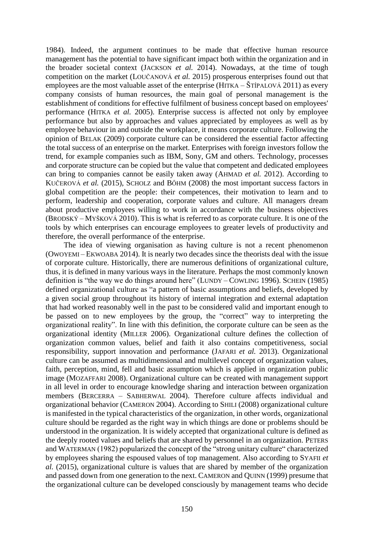1984). Indeed, the argument continues to be made that effective human resource management has the potential to have significant impact both within the organization and in the broader societal context (JACKSON *et al.* 2014). Nowadays, at the time of tough competition on the market (LOUČANOVÁ *et al.* 2015) prosperous enterprises found out that employees are the most valuable asset of the enterprise ( $HITKA - \text{ŠT}IPALOVÁ 2011$ ) as every company consists of human resources, the main goal of personal management is the establishment of conditions for effective fulfilment of business concept based on employees' performance (HITKA *et al.* 2005). Enterprise success is affected not only by employee performance but also by approaches and values appreciated by employees as well as by employee behaviour in and outside the workplace, it means corporate culture. Following the opinion of BELAK (2009) corporate culture can be considered the essential factor affecting the total success of an enterprise on the market. Enterprises with foreign investors follow the trend, for example companies such as IBM, Sony, GM and others. Technology, processes and corporate structure can be copied but the value that competent and dedicated employees can bring to companies cannot be easily taken away (AHMAD *et al.* 2012). According to KUČEROVÁ *et al.* (2015), SCHOLZ and BŐHM (2008) the most important success factors in global competition are the people: their competences, their motivation to learn and to perform, leadership and cooperation, corporate values and culture. All managers dream about productive employees willing to work in accordance with the business objectives (BRODSKÝ – MYŠKOVÁ 2010). This is what is referred to as corporate culture. It is one of the tools by which enterprises can encourage employees to greater levels of productivity and therefore, the overall performance of the enterprise.

The idea of viewing organisation as having culture is not a recent phenomenon (OWOYEMI – EKWOABA 2014). It is nearly two decades since the theorists deal with the issue of corporate culture. Historically, there are numerous definitions of organizational culture, thus, it is defined in many various ways in the literature. Perhaps the most commonly known definition is "the way we do things around here" (LUNDY – COWLING 1996). SCHEIN (1985) defined organizational culture as "a pattern of basic assumptions and beliefs, developed by a given social group throughout its history of internal integration and external adaptation that had worked reasonably well in the past to be considered valid and important enough to be passed on to new employees by the group, the "correct" way to interpreting the organizational reality". In line with this definition, the corporate culture can be seen as the organizational identity (MILLER 2006). Organizational culture defines the collection of organization common values, belief and faith it also contains competitiveness, social responsibility, support innovation and performance (JAFARI *et al.* 2013). Organizational culture can be assumed as multidimensional and multilevel concept of organization values, faith, perception, mind, fell and basic assumption which is applied in organization public image (MOZAFFARI 2008). Organizational culture can be created with management support in all level in order to encourage knowledge sharing and interaction between organization members (BERCERRA – SABHERWAL 2004). Therefore culture affects individual and organizational behavior (CAMERON 2004). According to SHILI (2008) organizational culture is manifested in the typical characteristics of the organization, in other words, organizational culture should be regarded as the right way in which things are done or problems should be understood in the organization. It is widely accepted that organizational culture is defined as the deeply rooted values and beliefs that are shared by personnel in an organization. PETERS and WATERMAN (1982) popularized the concept of the "strong unitary culture" characterized by employees sharing the espoused values of top management. Also according to SYAFII *et al.* (2015), organizational culture is values that are shared by member of the organization and passed down from one generation to the next. CAMERON and QUINN (1999) presume that the organizational culture can be developed consciously by management teams who decide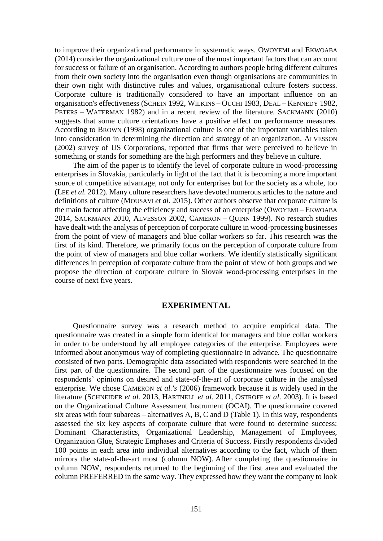to improve their organizational performance in systematic ways. OWOYEMI and EKWOABA (2014) consider the organizational culture one of the most important factors that can account for success or failure of an organisation. According to authors people bring different cultures from their own society into the organisation even though organisations are communities in their own right with distinctive rules and values, organisational culture fosters success. Corporate culture is traditionally considered to have an important influence on an organisation's effectiveness (SCHEIN 1992, WILKINS – OUCHI 1983, DEAL – KENNEDY 1982, PETERS – WATERMAN 1982) and in a recent review of the literature. SACKMANN (2010) suggests that some culture orientations have a positive effect on performance measures. According to BROWN (1998) organizational culture is one of the important variables taken into consideration in determining the direction and strategy of an organization. ALVESSON (2002) survey of US Corporations, reported that firms that were perceived to believe in something or stands for something are the high performers and they believe in culture.

The aim of the paper is to identify the level of corporate culture in wood-processing enterprises in Slovakia, particularly in light of the fact that it is becoming a more important source of competitive advantage, not only for enterprises but for the society as a whole, too (LEE *et al.* 2012). Many culture researchers have devoted numerous articles to the nature and definitions of culture (MOUSAVI *et al.* 2015). Other authors observe that corporate culture is the main factor affecting the efficiency and success of an enterprise (OWOYEMI – EKWOABA 2014, SACKMANN 2010, ALVESSON 2002, CAMERON – QUINN 1999). No research studies have dealt with the analysis of perception of corporate culture in wood-processing businesses from the point of view of managers and blue collar workers so far. This research was the first of its kind. Therefore, we primarily focus on the perception of corporate culture from the point of view of managers and blue collar workers. We identify statistically significant differences in perception of corporate culture from the point of view of both groups and we propose the direction of corporate culture in Slovak wood-processing enterprises in the course of next five years.

## **EXPERIMENTAL**

Questionnaire survey was a research method to acquire empirical data. The questionnaire was created in a simple form identical for managers and blue collar workers in order to be understood by all employee categories of the enterprise. Employees were informed about anonymous way of completing questionnaire in advance. The questionnaire consisted of two parts. Demographic data associated with respondents were searched in the first part of the questionnaire. The second part of the questionnaire was focused on the respondents' opinions on desired and state-of-the-art of corporate culture in the analysed enterprise. We chose CAMERON *et al.'s* (2006) framework because it is widely used in the literature (SCHNEIDER *et al.* 2013, HARTNELL *et al.* 2011, OSTROFF *et al*. 2003). It is based on the Organizational Culture Assessment Instrument (OCAI). The questionnaire covered six areas with four subareas – alternatives A, B, C and D (Table 1). In this way, respondents assessed the six key aspects of corporate culture that were found to determine success: Dominant Characteristics, Organizational Leadership, Management of Employees, Organization Glue, Strategic Emphases and Criteria of Success. Firstly respondents divided 100 points in each area into individual alternatives according to the fact, which of them mirrors the state-of-the-art most (column NOW). After completing the questionnaire in column NOW, respondents returned to the beginning of the first area and evaluated the column PREFERRED in the same way. They expressed how they want the company to look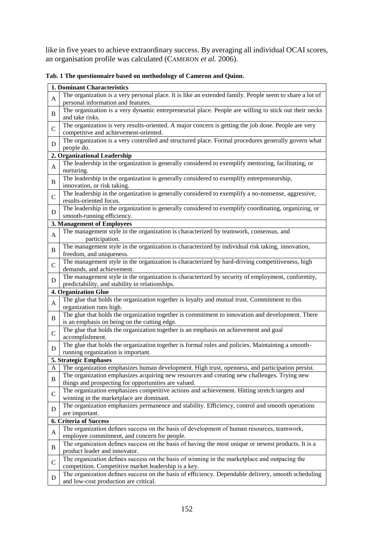like in five years to achieve extraordinary success. By averaging all individual OCAI scores, an organisation profile was calculated (CAMERON *et al.* 2006).

|                | 1. Dominant Characteristics                                                                                                                           |
|----------------|-------------------------------------------------------------------------------------------------------------------------------------------------------|
| A              | The organization is a very personal place. It is like an extended family. People seem to share a lot of<br>personal information and features.         |
| B              | The organization is a very dynamic entrepreneurial place. People are willing to stick out their necks<br>and take risks.                              |
| $\mathbf C$    | The organization is very results-oriented. A major concern is getting the job done. People are very<br>competitive and achievement-oriented.          |
| D              | The organization is a very controlled and structured place. Formal procedures generally govern what<br>people do.                                     |
|                | 2. Organizational Leadership                                                                                                                          |
| A              | The leadership in the organization is generally considered to exemplify mentoring, facilitating, or<br>nurturing.                                     |
| B              | The leadership in the organization is generally considered to exemplify entrepreneurship,<br>innovation, or risk taking.                              |
| $\overline{C}$ | The leadership in the organization is generally considered to exemplify a no-nonsense, aggressive,<br>results-oriented focus.                         |
| D              | The leadership in the organization is generally considered to exemplify coordinating, organizing, or<br>smooth-running efficiency.                    |
|                | 3. Management of Employees                                                                                                                            |
| A              | The management style in the organization is characterized by teamwork, consensus, and<br>participation.                                               |
| B              | The management style in the organization is characterized by individual risk taking, innovation,<br>freedom, and uniqueness.                          |
| $\mathbf C$    | The management style in the organization is characterized by hard-driving competitiveness, high<br>demands, and achievement.                          |
| D              | The management style in the organization is characterized by security of employment, conformity,<br>predictability, and stability in relationships.   |
|                | <b>4. Organization Glue</b>                                                                                                                           |
| A              | The glue that holds the organization together is loyalty and mutual trust. Commitment to this<br>organization runs high.                              |
| B              | The glue that holds the organization together is commitment to innovation and development. There<br>is an emphasis on being on the cutting edge.      |
| $\mathbf C$    | The glue that holds the organization together is an emphasis on achievement and goal<br>accomplishment.                                               |
| D              | The glue that holds the organization together is formal rules and policies. Maintaining a smooth-<br>running organization is important.               |
|                | 5. Strategic Emphases                                                                                                                                 |
|                | The organization emphasizes human development. High trust, openness, and participation persist.                                                       |
| B              | The organization emphasizes acquiring new resources and creating new challenges. Trying new<br>things and prospecting for opportunities are valued.   |
| $\mathcal{C}$  | The organization emphasizes competitive actions and achievement. Hitting stretch targets and<br>winning in the marketplace are dominant.              |
| D              | The organization emphasizes permanence and stability. Efficiency, control and smooth operations<br>are important.                                     |
|                | 6. Criteria of Success                                                                                                                                |
| A              | The organization defines success on the basis of development of human resources, teamwork,<br>employee commitment, and concern for people.            |
| B              | The organization defines success on the basis of having the most unique or newest products. It is a<br>product leader and innovator.                  |
| $\mathcal{C}$  | The organization defines success on the basis of winning in the marketplace and outpacing the<br>competition. Competitive market leadership is a key. |
| D              | The organization defines success on the basis of efficiency. Dependable delivery, smooth scheduling<br>and low-cost production are critical.          |
|                |                                                                                                                                                       |

**Tab. 1 The questionnaire based on methodology of Cameron and Quinn.**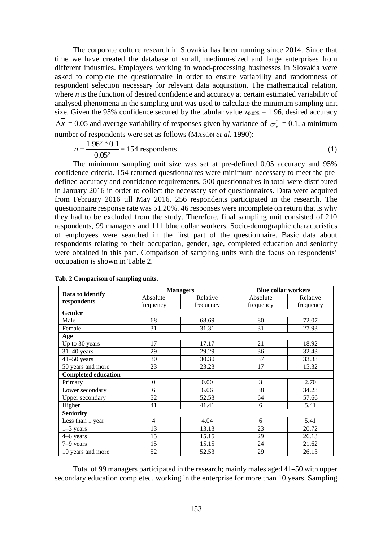The corporate culture research in Slovakia has been running since 2014. Since that time we have created the database of small, medium-sized and large enterprises from different industries. Employees working in wood-processing businesses in Slovakia were asked to complete the questionnaire in order to ensure variability and randomness of respondent selection necessary for relevant data acquisition. The mathematical relation, where *n* is the function of desired confidence and accuracy at certain estimated variability of analysed phenomena in the sampling unit was used to calculate the minimum sampling unit size. Given the 95% confidence secured by the tabular value  $z_{0.025} = 1.96$ , desired accuracy  $\Delta x = 0.05$  and average variability of responses given by variance of  $\sigma_x^2 = 0.1$ , a minimum number of respondents were set as follows (MASON *et al.* 1990):

$$
n = \frac{1.96^2 * 0.1}{0.05^2} = 154
$$
respondents (1)

The minimum sampling unit size was set at pre-defined 0.05 accuracy and 95% confidence criteria. 154 returned questionnaires were minimum necessary to meet the predefined accuracy and confidence requirements. 500 questionnaires in total were distributed in January 2016 in order to collect the necessary set of questionnaires. Data were acquired from February 2016 till May 2016. 256 respondents participated in the research. The questionnaire response rate was 51.20%. 46 responses were incomplete on return that is why they had to be excluded from the study. Therefore, final sampling unit consisted of 210 respondents, 99 managers and 111 blue collar workers. Socio-demographic characteristics of employees were searched in the first part of the questionnaire. Basic data about respondents relating to their occupation, gender, age, completed education and seniority were obtained in this part. Comparison of sampling units with the focus on respondents' occupation is shown in Table 2.

|                            |                | <b>Managers</b> | <b>Blue collar workers</b> |           |
|----------------------------|----------------|-----------------|----------------------------|-----------|
| Data to identify           | Absolute       | Relative        | Absolute                   | Relative  |
| respondents                | frequency      | frequency       | frequency                  | frequency |
| Gender                     |                |                 |                            |           |
| Male                       | 68             | 68.69           | 80                         | 72.07     |
| Female                     | 31             | 31.31           | 31                         | 27.93     |
| Age                        |                |                 |                            |           |
| Up to 30 years             | 17             | 17.17           | 21                         | 18.92     |
| $31-40$ years              | 29             | 29.29           | 36                         | 32.43     |
| $41-50$ years              | 30             | 30.30           | 37                         | 33.33     |
| 50 years and more          | 23             | 23.23           | 17                         | 15.32     |
| <b>Completed education</b> |                |                 |                            |           |
| Primary                    | $\theta$       | 0.00            | 3                          | 2.70      |
| Lower secondary            | 6              | 6.06            | 38                         | 34.23     |
| Upper secondary            | 52             | 52.53           | 64                         | 57.66     |
| Higher                     | 41             | 41.41           | 6                          | 5.41      |
| <b>Seniority</b>           |                |                 |                            |           |
| Less than 1 year           | $\overline{4}$ | 4.04            | 6                          | 5.41      |
| $1-3$ years                | 13             | 13.13           | 23                         | 20.72     |
| $4-6$ years                | 15             | 15.15           | 29                         | 26.13     |
| 7-9 years                  | 15             | 15.15           | 24                         | 21.62     |
| 10 years and more          | 52             | 52.53           | 29                         | 26.13     |

**Tab. 2 Comparison of sampling units.**

Total of 99 managers participated in the research; mainly males aged 41–50 with upper secondary education completed, working in the enterprise for more than 10 years. Sampling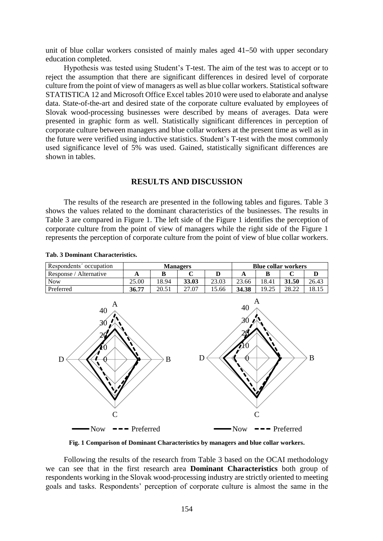unit of blue collar workers consisted of mainly males aged 41–50 with upper secondary education completed.

Hypothesis was tested using Student's T-test. The aim of the test was to accept or to reject the assumption that there are significant differences in desired level of corporate culture from the point of view of managers as well as blue collar workers. Statistical software STATISTICA 12 and Microsoft Office Excel tables 2010 were used to elaborate and analyse data. State-of-the-art and desired state of the corporate culture evaluated by employees of Slovak wood-processing businesses were described by means of averages. Data were presented in graphic form as well. Statistically significant differences in perception of corporate culture between managers and blue collar workers at the present time as well as in the future were verified using inductive statistics. Student's T-test with the most commonly used significance level of 5% was used. Gained, statistically significant differences are shown in tables.

#### **RESULTS AND DISCUSSION**

The results of the research are presented in the following tables and figures. Table 3 shows the values related to the dominant characteristics of the businesses. The results in Table 3 are compared in Figure 1. The left side of the Figure 1 identifies the perception of corporate culture from the point of view of managers while the right side of the Figure 1 represents the perception of corporate culture from the point of view of blue collar workers.



#### **Tab. 3 Dominant Characteristics.**

**Fig. 1 Comparison of Dominant Characteristics by managers and blue collar workers.**

Following the results of the research from Table 3 based on the OCAI methodology we can see that in the first research area **Dominant Characteristics** both group of respondents working in the Slovak wood-processing industry are strictly oriented to meeting goals and tasks. Respondents' perception of corporate culture is almost the same in the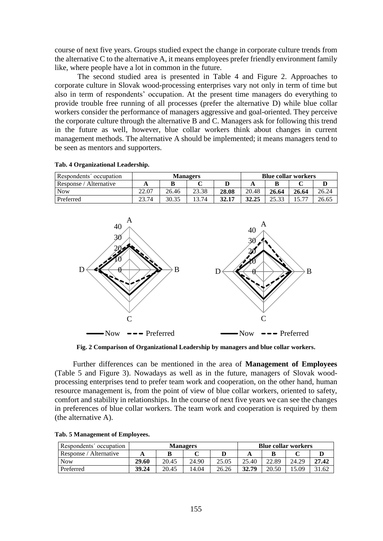course of next five years. Groups studied expect the change in corporate culture trends from the alternative C to the alternative A, it means employees prefer friendly environment family like, where people have a lot in common in the future.

The second studied area is presented in Table 4 and Figure 2. Approaches to corporate culture in Slovak wood-processing enterprises vary not only in term of time but also in term of respondents' occupation. At the present time managers do everything to provide trouble free running of all processes (prefer the alternative D) while blue collar workers consider the performance of managers aggressive and goal-oriented. They perceive the corporate culture through the alternative B and C. Managers ask for following this trend in the future as well, however, blue collar workers think about changes in current management methods. The alternative A should be implemented; it means managers tend to be seen as mentors and supporters.

| Respondents' occupation | <b>Blue collar workers</b><br><b>Managers</b> |       |       |       |       |       |       |       |
|-------------------------|-----------------------------------------------|-------|-------|-------|-------|-------|-------|-------|
| Response / Alternative  |                                               |       |       |       |       |       |       |       |
| <b>Now</b>              | 22.07                                         | 26.46 | 23.38 | 28.08 | 20.48 | 26.64 | 26.64 | 26.24 |
| Preferred               | 23.74                                         | 30.35 | 13 74 | 32.17 | 32.25 |       |       | 26.65 |

**Tab. 4 Organizational Leadership.**



**Fig. 2 Comparison of Organizational Leadership by managers and blue collar workers.**

Further differences can be mentioned in the area of **Management of Employees** (Table 5 and Figure 3). Nowadays as well as in the future, managers of Slovak woodprocessing enterprises tend to prefer team work and cooperation, on the other hand, human resource management is, from the point of view of blue collar workers, oriented to safety, comfort and stability in relationships. In the course of next five years we can see the changes in preferences of blue collar workers. The team work and cooperation is required by them (the alternative A).

| Respondents' occupation |       | <b>Managers</b> |       |       |       | <b>Blue collar workers</b> |       |       |  |
|-------------------------|-------|-----------------|-------|-------|-------|----------------------------|-------|-------|--|
| Response / Alternative  |       |                 |       |       |       |                            |       |       |  |
| <b>Now</b>              | 29.60 | 20.45           | 24.90 | 25.05 | 25.40 | 22.89                      | 24.29 | 27.42 |  |
| Preferred<br>39.24      |       | 20.45           | 14.04 | 26.26 | 32.79 | 20.50                      | 5.09  | 31.62 |  |

|  |  | Tab. 5 Management of Employees. |
|--|--|---------------------------------|
|--|--|---------------------------------|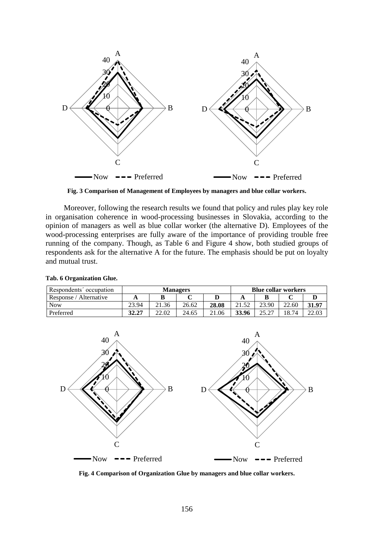

**Fig. 3 Comparison of Management of Employees by managers and blue collar workers.**

Moreover, following the research results we found that policy and rules play key role in organisation coherence in wood-processing businesses in Slovakia, according to the opinion of managers as well as blue collar worker (the alternative D). Employees of the wood-processing enterprises are fully aware of the importance of providing trouble free running of the company. Though, as Table 6 and Figure 4 show, both studied groups of respondents ask for the alternative A for the future. The emphasis should be put on loyalty and mutual trust.

| Respondents'<br>occupation |       | <b>Managers</b> |       |       |       | <b>Blue collar workers</b> |       |       |  |
|----------------------------|-------|-----------------|-------|-------|-------|----------------------------|-------|-------|--|
| Response / Alternative     |       |                 |       |       |       |                            |       |       |  |
| <b>Now</b>                 | 23.94 | 21.36           | 26.62 | 28.08 |       | 23.90                      | 22.60 | 31.97 |  |
| Preferred                  | 32.27 | 22.02           | 24.65 | 21.06 | 33.96 | 25.27                      | 18.74 | 22.03 |  |





**Fig. 4 Comparison of Organization Glue by managers and blue collar workers.**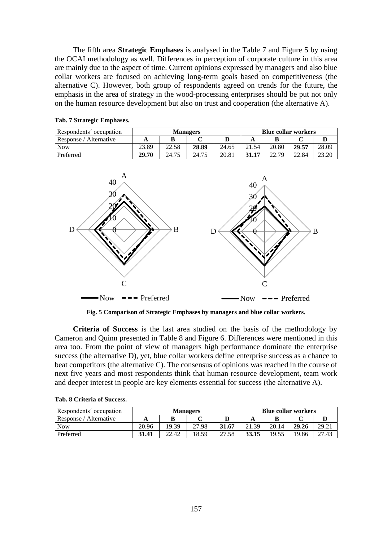The fifth area **Strategic Emphases** is analysed in the Table 7 and Figure 5 by using the OCAI methodology as well. Differences in perception of corporate culture in this area are mainly due to the aspect of time. Current opinions expressed by managers and also blue collar workers are focused on achieving long-term goals based on competitiveness (the alternative C). However, both group of respondents agreed on trends for the future, the emphasis in the area of strategy in the wood-processing enterprises should be put not only on the human resource development but also on trust and cooperation (the alternative A).

| Respondents' occupation |       | <b>Managers</b> |       |       |       | <b>Blue collar workers</b> |       |       |  |
|-------------------------|-------|-----------------|-------|-------|-------|----------------------------|-------|-------|--|
| Response / Alternative  |       |                 |       |       |       |                            |       |       |  |
| <b>Now</b>              | 23.89 | 22.58           | 28.89 | 24.65 | 21.54 | 20.80                      | 29.57 | 28.09 |  |
| Preferred               | 29.70 | 24.75           | 24.75 | 20.81 | 31.17 | 22 ZQ                      | 22.84 | 23.20 |  |





**Fig. 5 Comparison of Strategic Emphases by managers and blue collar workers.**

**Criteria of Success** is the last area studied on the basis of the methodology by Cameron and Quinn presented in Table 8 and Figure 6. Differences were mentioned in this area too. From the point of view of managers high performance dominate the enterprise success (the alternative D), yet, blue collar workers define enterprise success as a chance to beat competitors (the alternative C). The consensus of opinions was reached in the course of next five years and most respondents think that human resource development, team work and deeper interest in people are key elements essential for success (the alternative A).

| Respondents' occupation |       | <b>Managers</b> |       |       |       | <b>Blue collar workers</b> |       |       |  |  |
|-------------------------|-------|-----------------|-------|-------|-------|----------------------------|-------|-------|--|--|
| Response / Alternative  |       |                 |       |       |       |                            |       |       |  |  |
| <b>Now</b>              | 20.96 | 19.39           | 27.98 | 31.67 | 21.39 | 20.14                      | 29.26 | 29.21 |  |  |
| Preferred               | 31.41 | 22.42           | 18.59 | 27.58 | 33.15 | 19.55                      | 19.86 | 27.43 |  |  |

| Tab. 8 Criteria of Success. |
|-----------------------------|
|-----------------------------|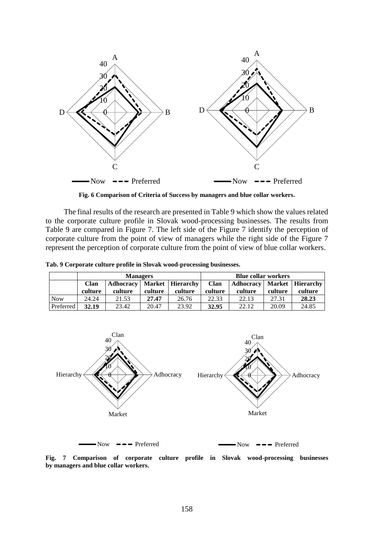

**Fig. 6 Comparison of Criteria of Success by managers and blue collar workers.**

The final results of the research are presented in Table 9 which show the values related to the corporate culture profile in Slovak wood-processing businesses. The results from Table 9 are compared in Figure 7. The left side of the Figure 7 identify the perception of corporate culture from the point of view of managers while the right side of the Figure 7 represent the perception of corporate culture from the point of view of blue collar workers.

**Tab. 9 Corporate culture profile in Slovak wood-processing businesses.**

|                  |             | <b>Managers</b>                |         |         | <b>Blue collar workers</b> |                    |           |         |
|------------------|-------------|--------------------------------|---------|---------|----------------------------|--------------------|-----------|---------|
|                  | <b>Clan</b> | Adhocracy   Market   Hierarchy |         |         | <b>Clan</b>                | Adhocracy   Market | Hierarchy |         |
|                  | culture     | culture                        | culture | culture | culture                    | culture            | culture   | culture |
| <b>Now</b>       | 24.24       | 21.53                          | 27.47   | 26.76   | 22.33                      | 22.13              | 27.31     | 28.23   |
| <b>Preferred</b> | 32.19       | 23.42                          | 20.47   | 23.92   | 32.95                      | 22.12              | 20.09     | 24.85   |



**Fig. 7 Comparison of corporate culture profile in Slovak wood-processing businesses by managers and blue collar workers.**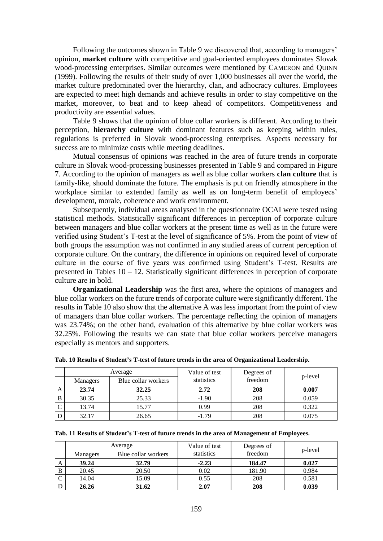Following the outcomes shown in Table 9 we discovered that, according to managers' opinion, **market culture** with competitive and goal-oriented employees dominates Slovak wood-processing enterprises. Similar outcomes were mentioned by CAMERON and QUINN (1999). Following the results of their study of over 1,000 businesses all over the world, the market culture predominated over the hierarchy, clan, and adhocracy cultures. Employees are expected to meet high demands and achieve results in order to stay competitive on the market, moreover, to beat and to keep ahead of competitors. Competitiveness and productivity are essential values.

Table 9 shows that the opinion of blue collar workers is different. According to their perception, **hierarchy culture** with dominant features such as keeping within rules, regulations is preferred in Slovak wood-processing enterprises. Aspects necessary for success are to minimize costs while meeting deadlines.

Mutual consensus of opinions was reached in the area of future trends in corporate culture in Slovak wood-processing businesses presented in Table 9 and compared in Figure 7. According to the opinion of managers as well as blue collar workers **clan culture** that is family-like, should dominate the future. The emphasis is put on friendly atmosphere in the workplace similar to extended family as well as on long-term benefit of employees' development, morale, coherence and work environment.

Subsequently, individual areas analysed in the questionnaire OCAI were tested using statistical methods. Statistically significant differences in perception of corporate culture between managers and blue collar workers at the present time as well as in the future were verified using Student's T-test at the level of significance of 5%. From the point of view of both groups the assumption was not confirmed in any studied areas of current perception of corporate culture. On the contrary, the difference in opinions on required level of corporate culture in the course of five years was confirmed using Student's T-test. Results are presented in Tables 10 – 12. Statistically significant differences in perception of corporate culture are in bold.

**Organizational Leadership** was the first area, where the opinions of managers and blue collar workers on the future trends of corporate culture were significantly different. The results in Table 10 also show that the alternative A was less important from the point of view of managers than blue collar workers. The percentage reflecting the opinion of managers was 23.74%; on the other hand, evaluation of this alternative by blue collar workers was 32.25%. Following the results we can state that blue collar workers perceive managers especially as mentors and supporters.

|   |          | Average             | Value of test | Degrees of | p-level |
|---|----------|---------------------|---------------|------------|---------|
|   | Managers | Blue collar workers | statistics    | freedom    |         |
| A | 23.74    | 32.25               | 2.72          | 208        | 0.007   |
|   | 30.35    | 25.33               | $-1.90$       | 208        | 0.059   |
|   | 13.74    | 15.77               | 0.99          | 208        | 0.322   |
|   | 32.17    | 26.65               | $-1.79$       | 208        | 0.075   |

**Tab. 10 Results of Student's T-test of future trends in the area of Organizational Leadership.**

|  |  |  |  |  |  |  |  | Tab. 11 Results of Student's T-test of future trends in the area of Management of Employees. |  |
|--|--|--|--|--|--|--|--|----------------------------------------------------------------------------------------------|--|
|--|--|--|--|--|--|--|--|----------------------------------------------------------------------------------------------|--|

|   | Average  |                     | Value of test | Degrees of | p-level |
|---|----------|---------------------|---------------|------------|---------|
|   | Managers | Blue collar workers | statistics    | freedom    |         |
| A | 39.24    | 32.79               | $-2.23$       | 184.47     | 0.027   |
| B | 20.45    | 20.50               | 0.02          | 181.90     | 0.984   |
|   | 14.04    | 15.09               | 0.55          | 208        | 0.581   |
|   | 26.26    | 31.62               | 2.07          | 208        | 0.039   |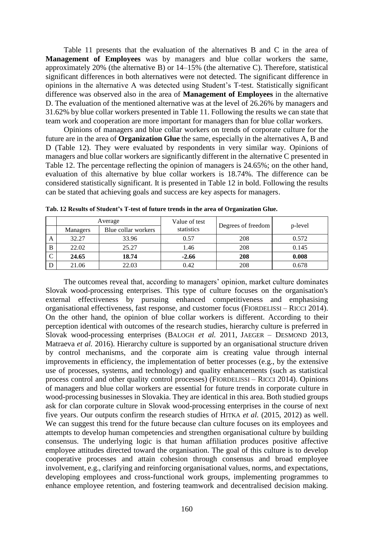Table 11 presents that the evaluation of the alternatives B and C in the area of **Management of Employees** was by managers and blue collar workers the same, approximately 20% (the alternative B) or 14–15% (the alternative C). Therefore, statistical significant differences in both alternatives were not detected. The significant difference in opinions in the alternative A was detected using Student's T-test. Statistically significant difference was observed also in the area of **Management of Employees** in the alternative D. The evaluation of the mentioned alternative was at the level of 26.26% by managers and 31.62% by blue collar workers presented in Table 11. Following the results we can state that team work and cooperation are more important for managers than for blue collar workers.

Opinions of managers and blue collar workers on trends of corporate culture for the future are in the area of **Organization Glue** the same, especially in the alternatives A, B and D (Table 12). They were evaluated by respondents in very similar way. Opinions of managers and blue collar workers are significantly different in the alternative C presented in Table 12. The percentage reflecting the opinion of managers is 24.65%; on the other hand, evaluation of this alternative by blue collar workers is 18.74%. The difference can be considered statistically significant. It is presented in Table 12 in bold. Following the results can be stated that achieving goals and success are key aspects for managers.

|   | Average  |                     | Value of test |                    |         |
|---|----------|---------------------|---------------|--------------------|---------|
|   | Managers | Blue collar workers | statistics    | Degrees of freedom | p-level |
| A | 32.27    | 33.96               | 0.57          | 208                | 0.572   |
| B | 22.02    | 25.27               | l.46          | 208                | 0.145   |
|   | 24.65    | 18.74               | $-2.66$       | 208                | 0.008   |
|   | 21.06    | 22.03               | 0.42          | 208                | 0.678   |

**Tab. 12 Results of Student's T-test of future trends in the area of Organization Glue.**

The outcomes reveal that, according to managers' opinion, market culture dominates Slovak wood-processing enterprises. This type of culture focuses on the organisation's external effectiveness by pursuing enhanced competitiveness and emphasising organisational effectiveness, fast response, and customer focus (FIORDELISSI – RICCI 2014). On the other hand, the opinion of blue collar workers is different. According to their perception identical with outcomes of the research studies, hierarchy culture is preferred in Slovak wood-processing enterprises (BALOGH *et al.* 2011, JAEGER – DESMOND 2013, Matraeva *et al.* 2016). Hierarchy culture is supported by an organisational structure driven by control mechanisms, and the corporate aim is creating value through internal improvements in efficiency, the implementation of better processes (e.g., by the extensive use of processes, systems, and technology) and quality enhancements (such as statistical process control and other quality control processes) (FIORDELISSI – RICCI 2014). Opinions of managers and blue collar workers are essential for future trends in corporate culture in wood-processing businesses in Slovakia. They are identical in this area. Both studied groups ask for clan corporate culture in Slovak wood-processing enterprises in the course of next five years. Our outputs confirm the research studies of HITKA *et al.* (2015, 2012) as well. We can suggest this trend for the future because clan culture focuses on its employees and attempts to develop human competencies and strengthen organisational culture by building consensus. The underlying logic is that human affiliation produces positive affective employee attitudes directed toward the organisation. The goal of this culture is to develop cooperative processes and attain cohesion through consensus and broad employee involvement, e.g., clarifying and reinforcing organisational values, norms, and expectations, developing employees and cross-functional work groups, implementing programmes to enhance employee retention, and fostering teamwork and decentralised decision making.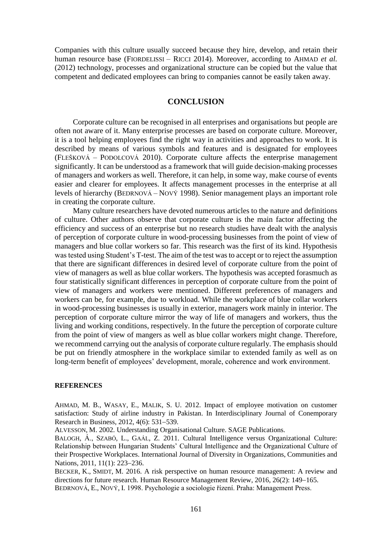Companies with this culture usually succeed because they hire, develop, and retain their human resource base (FIORDELISSI – RICCI 2014). Moreover, according to AHMAD *et al.* (2012) technology, processes and organizational structure can be copied but the value that competent and dedicated employees can bring to companies cannot be easily taken away.

## **CONCLUSION**

Corporate culture can be recognised in all enterprises and organisations but people are often not aware of it. Many enterprise processes are based on corporate culture. Moreover, it is a tool helping employees find the right way in activities and approaches to work. It is described by means of various symbols and features and is designated for employees (FLEŠKOVÁ – PODOLCOVÁ 2010). Corporate culture affects the enterprise management significantly. It can be understood as a framework that will guide decision-making processes of managers and workers as well. Therefore, it can help, in some way, make course of events easier and clearer for employees. It affects management processes in the enterprise at all levels of hierarchy (BEDRNOVÁ – NOVÝ 1998). Senior management plays an important role in creating the corporate culture.

Many culture researchers have devoted numerous articles to the nature and definitions of culture. Other authors observe that corporate culture is the main factor affecting the efficiency and success of an enterprise but no research studies have dealt with the analysis of perception of corporate culture in wood-processing businesses from the point of view of managers and blue collar workers so far. This research was the first of its kind. Hypothesis was tested using Student's T-test. The aim of the test was to accept or to reject the assumption that there are significant differences in desired level of corporate culture from the point of view of managers as well as blue collar workers. The hypothesis was accepted forasmuch as four statistically significant differences in perception of corporate culture from the point of view of managers and workers were mentioned. Different preferences of managers and workers can be, for example, due to workload. While the workplace of blue collar workers in wood-processing businesses is usually in exterior, managers work mainly in interior. The perception of corporate culture mirror the way of life of managers and workers, thus the living and working conditions, respectively. In the future the perception of corporate culture from the point of view of mangers as well as blue collar workers might change. Therefore, we recommend carrying out the analysis of corporate culture regularly. The emphasis should be put on friendly atmosphere in the workplace similar to extended family as well as on long-term benefit of employees' development, morale, coherence and work environment.

#### **REFERENCES**

AHMAD, M. B., WASAY, E., MALIK, S. U. 2012. Impact of employee motivation on customer satisfaction: Study of airline industry in Pakistan. In Interdisciplinary Journal of Conemporary Research in Business, 2012, 4(6): 531–539.

ALVESSON, M. 2002. Understanding Organisational Culture. SAGE Publications.

BALOGH, Á., SZABÓ, L., GAÁL, Z. 2011. Cultural Intelligence versus Organizational Culture: Relationship between Hungarian Students' Cultural Intelligence and the Organizational Culture of their Prospective Workplaces. International Journal of Diversity in Organizations, Communities and Nations, 2011, 11(1): 223-236.

BECKER, K., SMIDT, M. 2016. A risk perspective on human resource management: A review and directions for future research. [Human Resource Management Review,](http://www.sciencedirect.com/science/journal/10534822) 2016, 26(2): 149–165. BEDRNOVÁ, E., NOVÝ, I. 1998. Psychologie a sociologie řízení. Praha: Management Press.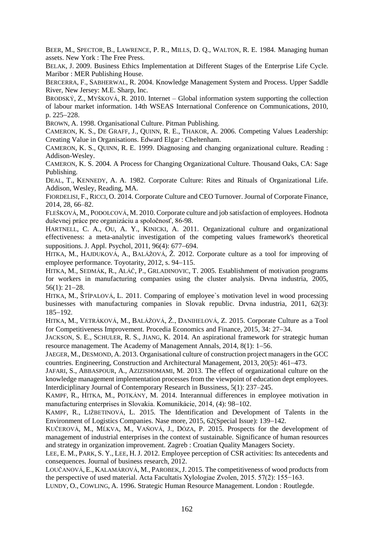BEER, M., SPECTOR, B., LAWRENCE, P. R., MILLS, D. Q., WALTON, R. E. 1984. Managing human assets. New York : The Free Press.

BELAK, J. 2009. Business Ethics Implementation at Different Stages of the Enterprise Life Cycle. Maribor : MER Publishing House.

BERCERRA, F., SABHERWAL, R. 2004. Knowledge Management System and Process. Upper Saddle River, New Jersey: M.E. Sharp, Inc.

BRODSKÝ, Z., MYŠKOVÁ, R. 2010. Internet – Global information system supporting the collection of labour market information. 14th WSEAS International Conference on Communications, 2010, p. 225-228.

BROWN, A. 1998. Organisational Culture. Pitman Publishing.

CAMERON, K. S., DE GRAFF, J., QUINN, R. E., THAKOR, A. 2006. Competing Values Leadership: Creating Value in Organisations. Edward Elgar : Cheltenham.

CAMERON, K. S., QUINN, R. E. 1999. Diagnosing and changing organizational culture. Reading : Addison-Wesley.

CAMERON, K. S. 2004. A Process for Changing Organizational Culture. Thousand Oaks, CA: Sage Publishing.

DEAL, T., KENNEDY, A. A. 1982. Corporate Culture: Rites and Rituals of Organizational Life. Addison, Wesley, Reading, MA.

FIORDELISI, F., RICCI, O. 2014. Corporate Culture and CEO Turnover. Journal of Corporate Finance, 2014, 28, 66–82.

FLEŠKOVÁ, M., PODOLCOVÁ, M. 2010. Corporate culture and job satisfaction of employees. Hodnota duševnej práce pre organizáciu a spoločnosť, 86-98.

HARTNELL, C. A., OU, A. Y., KINICKI, A. 2011. Organizational culture and organizational effectiveness: a meta-analytic investigation of the competing values framework's theoretical suppositions. J. Appl. Psychol,  $2011, 96(4)$ : 677–694.

HITKA, M., HAJDUKOVÁ, A., BALÁŽOVÁ, Ž. 2012. Corporate culture as a tool for improving of employee performance. Toyotarity,  $2012$ , s.  $94-115$ .

HITKA, M., SEDMÁK, R., ALÁČ, P., GRLADINOVIC, T. 2005. Establishment of motivation programs for workers in manufacturing companies using the cluster analysis. Drvna industria, 2005,  $56(1): 21-28.$ 

HITKA, M., ŠTÍPALOVÁ, L. 2011. Comparing of employee`s motivation level in wood processing businesses with manufacturing companies in Slovak republic. Drvna industria, 2011, 62(3):  $185 - 192$ .

HITKA, M., VETRÁKOVÁ, M., BALÁŽOVÁ, Ž., DANIHELOVÁ, Z. 2015. Corporate Culture as a Tool for Competitiveness Improvement. Procedia Economics and Finance,  $2015$ ,  $34: 27-34$ .

JACKSON, S. E., SCHULER, R. S., JIANG, K. 2014. An aspirational framework for strategic human resource management. The Academy of Management Annals, 2014, 8(1): 1–56.

JAEGER, M., DESMOND, A. 2013. Organisational culture of construction project managers in the GCC countries. Engineering, Construction and Architectural Management,  $2013$ ,  $20(5)$ ;  $461-473$ .

JAFARI, S., ABBASPOUR, A., AZIZISHOMAMI, M. 2013. The effect of organizational culture on the knowledge management implementation processes from the viewpoint of education dept employees. Interdiciplinary Journal of Contemporary Research in Bussiness, 5(1): 237–245.

KAMPF, R., HITKA, M., POTKÁNY, M. 2014. Interannual differences in employee motivation in manufacturing enterprises in Slovakia. Komunikácie, 2014, (4): 98–102.

KAMPF, R., LIŽBETINOVÁ, L. 2015. The Identification and Development of Talents in the Environment of Logistics Companies. Nase more, 2015, 62(Special Issue): 139–142.

KUČEROVÁ, M., MĹKVA, M., VAŇOVÁ, J., DÓZA, P. 2015. Prospects for the development of management of industrial enterprises in the context of sustainable. Significance of human resources and strategy in organization improvement. Zagreb : Croatian Quality Managers Society.

LEE, E. M., PARK, S. Y., LEE, H.J. 2012. Employee perception of CSR activities: Its antecedents and consequences. Journal of business research, 2012.

LOUČANOVÁ, E., KALAMÁROVÁ, M., PAROBEK,J. 2015. The competitiveness of wood products from the perspective of used material. Acta Facultatis Xylologiae Zvolen, 2015. 57(2): 155−163.

LUNDY, O., COWLING, A. 1996. Strategic Human Resource Management. London : Routlegde.